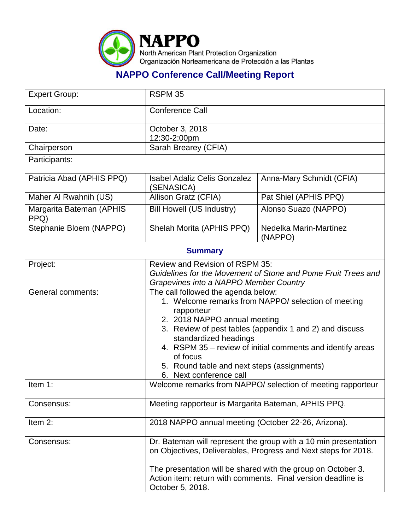

## **NAPPO Conference Call/Meeting Report**

| <b>Expert Group:</b>             | RSPM 35                                                                                                                                                                                                                                                                                                                                                                          |                                                                                                                              |  |
|----------------------------------|----------------------------------------------------------------------------------------------------------------------------------------------------------------------------------------------------------------------------------------------------------------------------------------------------------------------------------------------------------------------------------|------------------------------------------------------------------------------------------------------------------------------|--|
| Location:                        | <b>Conference Call</b>                                                                                                                                                                                                                                                                                                                                                           |                                                                                                                              |  |
| Date:                            | October 3, 2018<br>12:30-2:00pm                                                                                                                                                                                                                                                                                                                                                  |                                                                                                                              |  |
| Chairperson                      | Sarah Brearey (CFIA)                                                                                                                                                                                                                                                                                                                                                             |                                                                                                                              |  |
| Participants:                    |                                                                                                                                                                                                                                                                                                                                                                                  |                                                                                                                              |  |
| Patricia Abad (APHIS PPQ)        | <b>Isabel Adaliz Celis Gonzalez</b><br>(SENASICA)                                                                                                                                                                                                                                                                                                                                | Anna-Mary Schmidt (CFIA)                                                                                                     |  |
| Maher Al Rwahnih (US)            | Allison Gratz (CFIA)                                                                                                                                                                                                                                                                                                                                                             | Pat Shiel (APHIS PPQ)                                                                                                        |  |
| Margarita Bateman (APHIS<br>PPQ) | <b>Bill Howell (US Industry)</b>                                                                                                                                                                                                                                                                                                                                                 | Alonso Suazo (NAPPO)                                                                                                         |  |
| Stephanie Bloem (NAPPO)          | Shelah Morita (APHIS PPQ)                                                                                                                                                                                                                                                                                                                                                        | Nedelka Marin-Martínez<br>(NAPPO)                                                                                            |  |
| <b>Summary</b>                   |                                                                                                                                                                                                                                                                                                                                                                                  |                                                                                                                              |  |
| Project:                         | Review and Revision of RSPM 35:<br>Guidelines for the Movement of Stone and Pome Fruit Trees and<br>Grapevines into a NAPPO Member Country                                                                                                                                                                                                                                       |                                                                                                                              |  |
| <b>General comments:</b>         | The call followed the agenda below:<br>1. Welcome remarks from NAPPO/ selection of meeting<br>rapporteur<br>2. 2018 NAPPO annual meeting<br>3. Review of pest tables (appendix 1 and 2) and discuss<br>standardized headings<br>4. RSPM 35 - review of initial comments and identify areas<br>of focus<br>5. Round table and next steps (assignments)<br>6. Next conference call |                                                                                                                              |  |
| Item 1:                          | Welcome remarks from NAPPO/ selection of meeting rapporteur                                                                                                                                                                                                                                                                                                                      |                                                                                                                              |  |
| Consensus:                       | Meeting rapporteur is Margarita Bateman, APHIS PPQ.                                                                                                                                                                                                                                                                                                                              |                                                                                                                              |  |
| Item 2:                          | 2018 NAPPO annual meeting (October 22-26, Arizona).                                                                                                                                                                                                                                                                                                                              |                                                                                                                              |  |
| Consensus:                       | Dr. Bateman will represent the group with a 10 min presentation<br>on Objectives, Deliverables, Progress and Next steps for 2018.                                                                                                                                                                                                                                                |                                                                                                                              |  |
|                                  | October 5, 2018.                                                                                                                                                                                                                                                                                                                                                                 | The presentation will be shared with the group on October 3.<br>Action item: return with comments. Final version deadline is |  |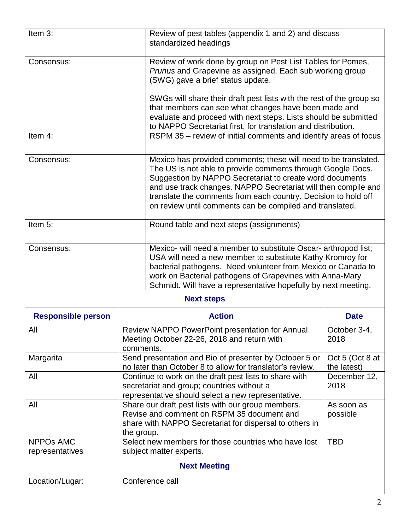| Item $3$ :                          | Review of pest tables (appendix 1 and 2) and discuss<br>standardized headings                                                                                                                       |                                                                                                                                                                                                                                                                                                                                                                                            |                                |  |
|-------------------------------------|-----------------------------------------------------------------------------------------------------------------------------------------------------------------------------------------------------|--------------------------------------------------------------------------------------------------------------------------------------------------------------------------------------------------------------------------------------------------------------------------------------------------------------------------------------------------------------------------------------------|--------------------------------|--|
| Consensus:                          |                                                                                                                                                                                                     | Review of work done by group on Pest List Tables for Pomes,<br>Prunus and Grapevine as assigned. Each sub working group<br>(SWG) gave a brief status update.                                                                                                                                                                                                                               |                                |  |
|                                     |                                                                                                                                                                                                     | SWGs will share their draft pest lists with the rest of the group so<br>that members can see what changes have been made and<br>evaluate and proceed with next steps. Lists should be submitted<br>to NAPPO Secretariat first, for translation and distribution.                                                                                                                           |                                |  |
| Item 4:                             |                                                                                                                                                                                                     | RSPM 35 - review of initial comments and identify areas of focus                                                                                                                                                                                                                                                                                                                           |                                |  |
| Consensus:                          |                                                                                                                                                                                                     | Mexico has provided comments; these will need to be translated.<br>The US is not able to provide comments through Google Docs.<br>Suggestion by NAPPO Secretariat to create word documents<br>and use track changes. NAPPO Secretariat will then compile and<br>translate the comments from each country. Decision to hold off<br>on review until comments can be compiled and translated. |                                |  |
| Item 5:                             |                                                                                                                                                                                                     | Round table and next steps (assignments)                                                                                                                                                                                                                                                                                                                                                   |                                |  |
| Consensus:                          |                                                                                                                                                                                                     | Mexico- will need a member to substitute Oscar- arthropod list;<br>USA will need a new member to substitute Kathy Kromroy for<br>bacterial pathogens. Need volunteer from Mexico or Canada to<br>work on Bacterial pathogens of Grapevines with Anna-Mary<br>Schmidt. Will have a representative hopefully by next meeting.                                                                |                                |  |
|                                     |                                                                                                                                                                                                     | <b>Next steps</b>                                                                                                                                                                                                                                                                                                                                                                          |                                |  |
| <b>Responsible person</b>           | <b>Action</b>                                                                                                                                                                                       |                                                                                                                                                                                                                                                                                                                                                                                            | <b>Date</b>                    |  |
| All                                 | Review NAPPO PowerPoint presentation for Annual<br>October 3-4,<br>Meeting October 22-26, 2018 and return with<br>2018<br>comments.                                                                 |                                                                                                                                                                                                                                                                                                                                                                                            |                                |  |
| Margarita                           | Send presentation and Bio of presenter by October 5 or<br>no later than October 8 to allow for translator's review.                                                                                 |                                                                                                                                                                                                                                                                                                                                                                                            | Oct 5 (Oct 8 at<br>the latest) |  |
| All                                 | Continue to work on the draft pest lists to share with<br>December 12,<br>secretariat and group; countries without a<br>2018<br>representative should select a new representative.                  |                                                                                                                                                                                                                                                                                                                                                                                            |                                |  |
| All                                 | Share our draft pest lists with our group members.<br>As soon as<br>Revise and comment on RSPM 35 document and<br>possible<br>share with NAPPO Secretariat for dispersal to others in<br>the group. |                                                                                                                                                                                                                                                                                                                                                                                            |                                |  |
| <b>NPPOs AMC</b><br>representatives | Select new members for those countries who have lost<br><b>TBD</b><br>subject matter experts.                                                                                                       |                                                                                                                                                                                                                                                                                                                                                                                            |                                |  |
| <b>Next Meeting</b>                 |                                                                                                                                                                                                     |                                                                                                                                                                                                                                                                                                                                                                                            |                                |  |
| Location/Lugar:                     | Conference call                                                                                                                                                                                     |                                                                                                                                                                                                                                                                                                                                                                                            |                                |  |
|                                     |                                                                                                                                                                                                     |                                                                                                                                                                                                                                                                                                                                                                                            |                                |  |